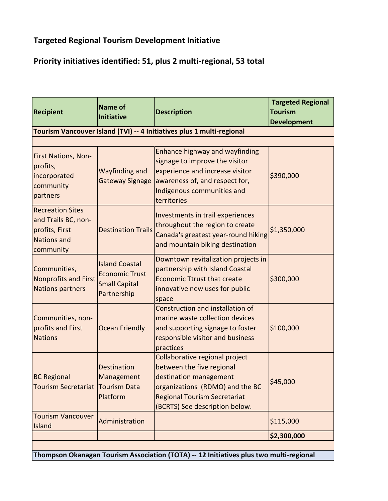## **Targeted Regional Tourism Development Initiative**

## **Priority initiatives identified: 51, plus 2 multi-regional, 53 total**

| <b>Recipient</b>                                                                                    | <b>Name of</b><br><b>Initiative</b>                                                   | <b>Description</b>                                                                                                                                                                                | <b>Targeted Regional</b><br><b>Tourism</b><br><b>Development</b> |
|-----------------------------------------------------------------------------------------------------|---------------------------------------------------------------------------------------|---------------------------------------------------------------------------------------------------------------------------------------------------------------------------------------------------|------------------------------------------------------------------|
|                                                                                                     |                                                                                       | Tourism Vancouver Island (TVI) -- 4 Initiatives plus 1 multi-regional                                                                                                                             |                                                                  |
| First Nations, Non-<br>profits,<br>incorporated<br>community<br>partners                            | Wayfinding and<br>Gateway Signage                                                     | Enhance highway and wayfinding<br>signage to improve the visitor<br>experience and increase visitor<br>awareness of, and respect for,<br>Indigenous communities and<br>territories                | \$390,000                                                        |
| <b>Recreation Sites</b><br>and Trails BC, non-<br>profits, First<br><b>Nations and</b><br>community | <b>Destination Trails</b>                                                             | Investments in trail experiences<br>throughout the region to create<br>Canada's greatest year-round hiking<br>and mountain biking destination                                                     | \$1,350,000                                                      |
| Communities,<br><b>Nonprofits and First</b><br><b>Nations partners</b>                              | <b>Island Coastal</b><br><b>Economic Trust</b><br><b>Small Capital</b><br>Partnership | Downtown revitalization projects in<br>partnership with Island Coastal<br><b>Economic Ttrust that create</b><br>innovative new uses for public<br>space                                           | \$300,000                                                        |
| Communities, non-<br>profits and First<br><b>Nations</b>                                            | <b>Ocean Friendly</b>                                                                 | Construction and installation of<br>marine waste collection devices<br>and supporting signage to foster<br>responsible visitor and business<br>practices                                          | \$100,000                                                        |
| <b>BC Regional</b><br><b>Tourism Secretariat</b>                                                    | <b>Destination</b><br>Management<br><b>Tourism Data</b><br>Platform                   | Collaborative regional project<br>between the five regional<br>destination management<br>organizations (RDMO) and the BC<br><b>Regional Tourism Secretariat</b><br>(BCRTS) See description below. | \$45,000                                                         |
| <b>Tourism Vancouver</b><br>Island                                                                  | Administration                                                                        |                                                                                                                                                                                                   | \$115,000                                                        |
|                                                                                                     |                                                                                       |                                                                                                                                                                                                   | \$2,300,000                                                      |

**Thompson Okanagan Tourism Association (TOTA) -- 12 Initiatives plus two multi-regional**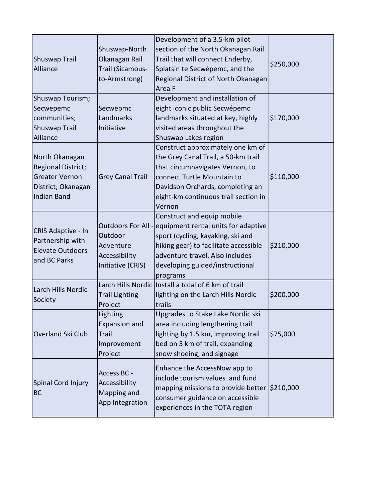| Shuswap Trail<br>Alliance                                                                                        | Shuswap-North<br>Okanagan Rail<br>Trail (Sicamous-<br>to-Armstrong)              | Development of a 3.5-km pilot<br>section of the North Okanagan Rail<br>Trail that will connect Enderby,<br>Splatsin te Secwépemc, and the<br>Regional District of North Okanagan<br>Area F                                        | \$250,000 |
|------------------------------------------------------------------------------------------------------------------|----------------------------------------------------------------------------------|-----------------------------------------------------------------------------------------------------------------------------------------------------------------------------------------------------------------------------------|-----------|
| Shuswap Tourism;<br>Secwepemc<br>communities;<br>Shuswap Trail<br>Alliance                                       | Secwepmc<br>Landmarks<br>Initiative                                              | Development and installation of<br>eight iconic public Secwépemc<br>landmarks situated at key, highly<br>visited areas throughout the<br>Shuswap Lakes region                                                                     | \$170,000 |
| North Okanagan<br><b>Regional District;</b><br><b>Greater Vernon</b><br>District; Okanagan<br><b>Indian Band</b> | <b>Grey Canal Trail</b>                                                          | Construct approximately one km of<br>the Grey Canal Trail, a 50-km trail<br>that circumnavigates Vernon, to<br>connect Turtle Mountain to<br>Davidson Orchards, completing an<br>eight-km continuous trail section in<br>Vernon   | \$110,000 |
| CRIS Adaptive - In<br>Partnership with<br><b>Elevate Outdoors</b><br>and BC Parks                                | Outdoors For All -<br>Outdoor<br>Adventure<br>Accessibility<br>Initiative (CRIS) | Construct and equip mobile<br>equipment rental units for adaptive<br>sport (cycling, kayaking, ski and<br>hiking gear) to facilitate accessible<br>adventure travel. Also includes<br>developing guided/instructional<br>programs | \$210,000 |
| Larch Hills Nordic<br>Society                                                                                    | <b>Trail Lighting</b><br>Project                                                 | Larch Hills Nordic Install a total of 6 km of trail<br>lighting on the Larch Hills Nordic<br>trails                                                                                                                               | \$200,000 |
| Overland Ski Club                                                                                                | Lighting<br><b>Expansion and</b><br>Trail<br>Improvement<br>Project              | Upgrades to Stake Lake Nordic ski<br>area including lengthening trail<br>lighting by 1.5 km, improving trail<br>bed on 5 km of trail, expanding<br>snow shoeing, and signage                                                      | \$75,000  |
| Spinal Cord Injury<br><b>BC</b>                                                                                  | Access BC -<br>Accessibility<br>Mapping and<br>App Integration                   | Enhance the AccessNow app to<br>include tourism values and fund<br>mapping missions to provide better (\$210,000<br>consumer guidance on accessible<br>experiences in the TOTA region                                             |           |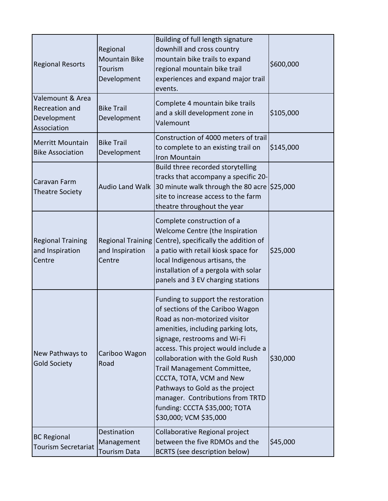| <b>Regional Resorts</b>                                          | Regional<br><b>Mountain Bike</b><br>Tourism<br>Development | Building of full length signature<br>downhill and cross country<br>mountain bike trails to expand<br>regional mountain bike trail<br>experiences and expand major trail<br>events.                                                                                                                                                                                                                                                                     | \$600,000 |
|------------------------------------------------------------------|------------------------------------------------------------|--------------------------------------------------------------------------------------------------------------------------------------------------------------------------------------------------------------------------------------------------------------------------------------------------------------------------------------------------------------------------------------------------------------------------------------------------------|-----------|
| Valemount & Area<br>Recreation and<br>Development<br>Association | <b>Bike Trail</b><br>Development                           | Complete 4 mountain bike trails<br>and a skill development zone in<br>Valemount                                                                                                                                                                                                                                                                                                                                                                        | \$105,000 |
| <b>Merritt Mountain</b><br><b>Bike Association</b>               | <b>Bike Trail</b><br>Development                           | Construction of 4000 meters of trail<br>to complete to an existing trail on<br>Iron Mountain                                                                                                                                                                                                                                                                                                                                                           | \$145,000 |
| Caravan Farm<br><b>Theatre Society</b>                           | <b>Audio Land Walk</b>                                     | Build three recorded storytelling<br>tracks that accompany a specific 20-<br>30 minute walk through the 80 acre \$25,000<br>site to increase access to the farm<br>theatre throughout the year                                                                                                                                                                                                                                                         |           |
| <b>Regional Training</b><br>and Inspiration<br>Centre            | <b>Regional Training</b><br>and Inspiration<br>Centre      | Complete construction of a<br>Welcome Centre (the Inspiration<br>Centre), specifically the addition of<br>a patio with retail kiosk space for<br>local Indigenous artisans, the<br>installation of a pergola with solar<br>panels and 3 EV charging stations                                                                                                                                                                                           | \$25,000  |
| New Pathways to<br><b>Gold Society</b>                           | Cariboo Wagon<br>Road                                      | Funding to support the restoration<br>of sections of the Cariboo Wagon<br>Road as non-motorized visitor<br>amenities, including parking lots,<br>signage, restrooms and Wi-Fi<br>access. This project would include a<br>collaboration with the Gold Rush<br>Trail Management Committee,<br>CCCTA, TOTA, VCM and New<br>Pathways to Gold as the project<br>manager. Contributions from TRTD<br>funding: CCCTA \$35,000; TOTA<br>\$30,000; VCM \$35,000 | \$30,000  |
| <b>BC Regional</b><br><b>Tourism Secretariat</b>                 | Destination<br>Management<br><b>Tourism Data</b>           | Collaborative Regional project<br>between the five RDMOs and the<br>BCRTS (see description below)                                                                                                                                                                                                                                                                                                                                                      | \$45,000  |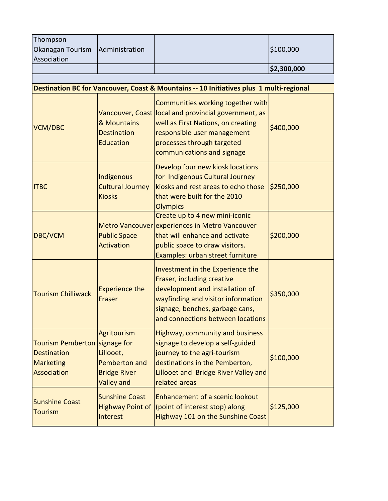| Thompson<br>Okanagan Tourism<br>Association                                              | Administration                                                                                      |                                                                                                                                                                                                                            | \$100,000   |
|------------------------------------------------------------------------------------------|-----------------------------------------------------------------------------------------------------|----------------------------------------------------------------------------------------------------------------------------------------------------------------------------------------------------------------------------|-------------|
|                                                                                          |                                                                                                     |                                                                                                                                                                                                                            | \$2,300,000 |
|                                                                                          |                                                                                                     |                                                                                                                                                                                                                            |             |
|                                                                                          |                                                                                                     | Destination BC for Vancouver, Coast & Mountains -- 10 Initiatives plus 1 multi-regional                                                                                                                                    |             |
| <b>VCM/DBC</b>                                                                           | & Mountains<br><b>Destination</b><br><b>Education</b>                                               | Communities working together with<br>Vancouver, Coast local and provincial government, as<br>well as First Nations, on creating<br>responsible user management<br>processes through targeted<br>communications and signage | \$400,000   |
| <b>ITBC</b>                                                                              | Indigenous<br><b>Cultural Journey</b><br><b>Kiosks</b>                                              | Develop four new kiosk locations<br>for Indigenous Cultural Journey<br>kiosks and rest areas to echo those<br>that were built for the 2010<br><b>Olympics</b>                                                              | \$250,000   |
| <b>DBC/VCM</b>                                                                           | <b>Public Space</b><br><b>Activation</b>                                                            | Create up to 4 new mini-iconic<br>Metro Vancouver experiences in Metro Vancouver<br>that will enhance and activate<br>public space to draw visitors.<br>Examples: urban street furniture                                   | \$200,000   |
| <b>Tourism Chilliwack</b>                                                                | <b>Experience the</b><br>Fraser                                                                     | Investment in the Experience the<br>Fraser, including creative<br>development and installation of<br>wayfinding and visitor information<br>signage, benches, garbage cans,<br>and connections between locations            | \$350,000   |
| Tourism Pemberton   signage for<br><b>Destination</b><br><b>Marketing</b><br>Association | <b>Agritourism</b><br>Lillooet,<br><b>Pemberton and</b><br><b>Bridge River</b><br><b>Valley and</b> | Highway, community and business<br>signage to develop a self-guided<br>journey to the agri-tourism<br>destinations in the Pemberton,<br>Lillooet and Bridge River Valley and<br>related areas                              | \$100,000   |
| <b>Sunshine Coast</b><br><b>Tourism</b>                                                  | <b>Sunshine Coast</b><br><b>Highway Point of</b><br>Interest                                        | Enhancement of a scenic lookout<br>(point of interest stop) along<br>Highway 101 on the Sunshine Coast                                                                                                                     | \$125,000   |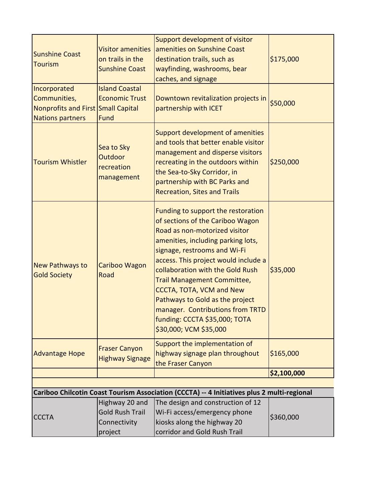|                                               |                                                   | Support development of visitor                                                                                                                                                                                                                                                                                                                                                                                                                                |             |
|-----------------------------------------------|---------------------------------------------------|---------------------------------------------------------------------------------------------------------------------------------------------------------------------------------------------------------------------------------------------------------------------------------------------------------------------------------------------------------------------------------------------------------------------------------------------------------------|-------------|
| <b>Sunshine Coast</b>                         | <b>Visitor amenities</b>                          | amenities on Sunshine Coast                                                                                                                                                                                                                                                                                                                                                                                                                                   |             |
| <b>Tourism</b>                                | on trails in the<br><b>Sunshine Coast</b>         | destination trails, such as                                                                                                                                                                                                                                                                                                                                                                                                                                   | \$175,000   |
|                                               |                                                   | wayfinding, washrooms, bear<br>caches, and signage                                                                                                                                                                                                                                                                                                                                                                                                            |             |
| Incorporated                                  | <b>Island Coastal</b>                             |                                                                                                                                                                                                                                                                                                                                                                                                                                                               |             |
| Communities,                                  | <b>Economic Trust</b>                             | Downtown revitalization projects in                                                                                                                                                                                                                                                                                                                                                                                                                           |             |
| Nonprofits and First Small Capital            |                                                   | partnership with ICET                                                                                                                                                                                                                                                                                                                                                                                                                                         | \$50,000    |
| Nations partners                              | Fund                                              |                                                                                                                                                                                                                                                                                                                                                                                                                                                               |             |
| <b>Tourism Whistler</b>                       | Sea to Sky<br>Outdoor<br>recreation<br>management | Support development of amenities<br>and tools that better enable visitor<br>management and disperse visitors<br>recreating in the outdoors within<br>the Sea-to-Sky Corridor, in<br>partnership with BC Parks and<br><b>Recreation, Sites and Trails</b>                                                                                                                                                                                                      | \$250,000   |
| <b>New Pathways to</b><br><b>Gold Society</b> | Cariboo Wagon<br>Road                             | Funding to support the restoration<br>of sections of the Cariboo Wagon<br>Road as non-motorized visitor<br>amenities, including parking lots,<br>signage, restrooms and Wi-Fi<br>access. This project would include a<br>collaboration with the Gold Rush<br>Trail Management Committee,<br><b>CCCTA, TOTA, VCM and New</b><br>Pathways to Gold as the project<br>manager. Contributions from TRTD<br>funding: CCCTA \$35,000; TOTA<br>\$30,000; VCM \$35,000 | \$35,000    |
| <b>Advantage Hope</b>                         | <b>Fraser Canyon</b><br><b>Highway Signage</b>    | Support the implementation of<br>highway signage plan throughout<br>the Fraser Canyon                                                                                                                                                                                                                                                                                                                                                                         | \$165,000   |
|                                               |                                                   |                                                                                                                                                                                                                                                                                                                                                                                                                                                               | \$2,100,000 |
|                                               |                                                   |                                                                                                                                                                                                                                                                                                                                                                                                                                                               |             |
|                                               |                                                   | Cariboo Chilcotin Coast Tourism Association (CCCTA) -- 4 Initiatives plus 2 multi-regional                                                                                                                                                                                                                                                                                                                                                                    |             |
|                                               | Highway 20 and<br><b>Gold Rush Trail</b>          | The design and construction of 12                                                                                                                                                                                                                                                                                                                                                                                                                             | \$360,000   |
| <b>CCCTA</b>                                  | Connectivity                                      | Wi-Fi access/emergency phone<br>kiosks along the highway 20                                                                                                                                                                                                                                                                                                                                                                                                   |             |
|                                               | project                                           | corridor and Gold Rush Trail                                                                                                                                                                                                                                                                                                                                                                                                                                  |             |
|                                               |                                                   |                                                                                                                                                                                                                                                                                                                                                                                                                                                               |             |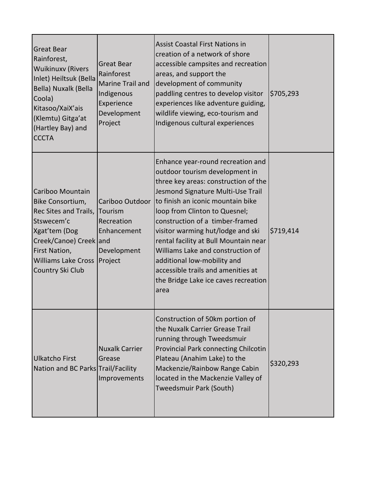| <b>Great Bear</b><br>Rainforest,<br><b>Wuikinuxv (Rivers</b><br>Inlet) Heiltsuk (Bella<br>Bella) Nuxalk (Bella<br>Coola)<br>Kitasoo/XaiX'ais<br>(Klemtu) Gitga'at<br>(Hartley Bay) and<br><b>CCCTA</b> | <b>Great Bear</b><br>Rainforest<br>Marine Trail and<br>Indigenous<br>Experience<br>Development<br>Project | <b>Assist Coastal First Nations in</b><br>creation of a network of shore<br>accessible campsites and recreation<br>areas, and support the<br>development of community<br>paddling centres to develop visitor<br>experiences like adventure guiding,<br>wildlife viewing, eco-tourism and<br>Indigenous cultural experiences                                                                                                                                                                        | \$705,293 |
|--------------------------------------------------------------------------------------------------------------------------------------------------------------------------------------------------------|-----------------------------------------------------------------------------------------------------------|----------------------------------------------------------------------------------------------------------------------------------------------------------------------------------------------------------------------------------------------------------------------------------------------------------------------------------------------------------------------------------------------------------------------------------------------------------------------------------------------------|-----------|
| Cariboo Mountain<br>Bike Consortium,<br>Rec Sites and Trails,<br>Stswecem'c<br>Xgat'tem (Dog<br>Creek/Canoe) Creek and<br>First Nation,<br><b>Williams Lake Cross</b><br>Country Ski Club              | Cariboo Outdoor<br>Tourism<br>Recreation<br>Enhancement<br>Development<br>Project                         | Enhance year-round recreation and<br>outdoor tourism development in<br>three key areas: construction of the<br>Jesmond Signature Multi-Use Trail<br>Ito finish an iconic mountain bike<br>loop from Clinton to Quesnel;<br>construction of a timber-framed<br>visitor warming hut/lodge and ski<br>rental facility at Bull Mountain near<br>Williams Lake and construction of<br>additional low-mobility and<br>accessible trails and amenities at<br>the Bridge Lake ice caves recreation<br>area | \$719,414 |
| Ulkatcho First<br>Nation and BC Parks Trail/Facility                                                                                                                                                   | <b>Nuxalk Carrier</b><br>Grease<br>Improvements                                                           | Construction of 50km portion of<br>the Nuxalk Carrier Grease Trail<br>running through Tweedsmuir<br>Provincial Park connecting Chilcotin<br>Plateau (Anahim Lake) to the<br>Mackenzie/Rainbow Range Cabin<br>located in the Mackenzie Valley of<br>Tweedsmuir Park (South)                                                                                                                                                                                                                         | \$320,293 |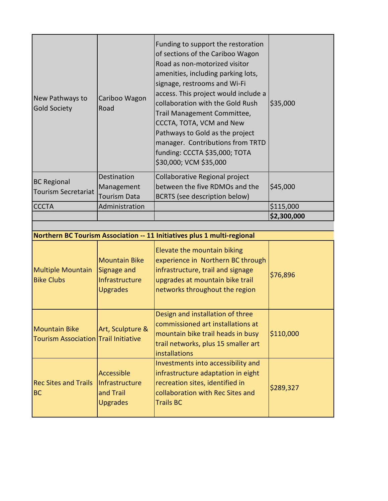| New Pathways to<br><b>Gold Society</b>                              | Cariboo Wagon<br>Road                                                    | Funding to support the restoration<br>of sections of the Cariboo Wagon<br>Road as non-motorized visitor<br>amenities, including parking lots,<br>signage, restrooms and Wi-Fi<br>access. This project would include a<br>collaboration with the Gold Rush<br>Trail Management Committee,<br>CCCTA, TOTA, VCM and New<br>Pathways to Gold as the project<br>manager. Contributions from TRTD<br>funding: CCCTA \$35,000; TOTA<br>\$30,000; VCM \$35,000 | \$35,000    |
|---------------------------------------------------------------------|--------------------------------------------------------------------------|--------------------------------------------------------------------------------------------------------------------------------------------------------------------------------------------------------------------------------------------------------------------------------------------------------------------------------------------------------------------------------------------------------------------------------------------------------|-------------|
| <b>BC Regional</b><br><b>Tourism Secretariat</b>                    | Destination<br>Management<br><b>Tourism Data</b>                         | Collaborative Regional project<br>between the five RDMOs and the<br><b>BCRTS</b> (see description below)                                                                                                                                                                                                                                                                                                                                               | \$45,000    |
| <b>CCCTA</b>                                                        | Administration                                                           |                                                                                                                                                                                                                                                                                                                                                                                                                                                        | \$115,000   |
|                                                                     |                                                                          |                                                                                                                                                                                                                                                                                                                                                                                                                                                        | \$2,300,000 |
|                                                                     |                                                                          |                                                                                                                                                                                                                                                                                                                                                                                                                                                        |             |
|                                                                     |                                                                          | Northern BC Tourism Association -- 11 Initiatives plus 1 multi-regional                                                                                                                                                                                                                                                                                                                                                                                |             |
| <b>Multiple Mountain</b><br><b>Bike Clubs</b>                       | <b>Mountain Bike</b><br>Signage and<br>Infrastructure<br><b>Upgrades</b> | Elevate the mountain biking<br>experience in Northern BC through<br>infrastructure, trail and signage<br>upgrades at mountain bike trail<br>networks throughout the region                                                                                                                                                                                                                                                                             | \$76,896    |
|                                                                     |                                                                          |                                                                                                                                                                                                                                                                                                                                                                                                                                                        |             |
| <b>Mountain Bike</b><br><b>Tourism Association Trail Initiative</b> | Art, Sculpture &                                                         | Design and installation of three<br>commissioned art installations at<br>mountain bike trail heads in busy<br>trail networks, plus 15 smaller art<br><b>installations</b>                                                                                                                                                                                                                                                                              | \$110,000   |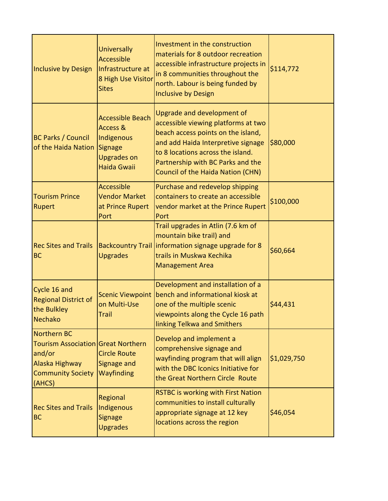| Inclusive by Design                                                                                                 | <b>Universally</b><br><b>Accessible</b><br>Infrastructure at<br>8 High Use Visitor<br><b>Sites</b> | Investment in the construction<br>materials for 8 outdoor recreation<br>accessible infrastructure projects in<br>in 8 communities throughout the<br>north. Labour is being funded by<br><b>Inclusive by Design</b>                                           | \$114,772   |
|---------------------------------------------------------------------------------------------------------------------|----------------------------------------------------------------------------------------------------|--------------------------------------------------------------------------------------------------------------------------------------------------------------------------------------------------------------------------------------------------------------|-------------|
| <b>BC Parks / Council</b><br>of the Haida Nation                                                                    | <b>Accessible Beach</b><br>Access &<br>Indigenous<br>Signage<br><b>Upgrades on</b><br>Haida Gwaii  | Upgrade and development of<br>accessible viewing platforms at two<br>beach access points on the island,<br>and add Haida Interpretive signage<br>to 8 locations across the island.<br>Partnership with BC Parks and the<br>Council of the Haida Nation (CHN) | \$80,000    |
| <b>Tourism Prince</b><br><b>Rupert</b>                                                                              | <b>Accessible</b><br><b>Vendor Market</b><br>at Prince Rupert<br><b>Port</b>                       | Purchase and redevelop shipping<br>containers to create an accessible<br>vendor market at the Prince Rupert<br>Port                                                                                                                                          | \$100,000   |
| <b>Rec Sites and Trails</b><br><b>BC</b>                                                                            | <b>Upgrades</b>                                                                                    | Trail upgrades in Atlin (7.6 km of<br>mountain bike trail) and<br>Backcountry Trail   information signage upgrade for 8<br>trails in Muskwa Kechika<br><b>Management Area</b>                                                                                | \$60,664    |
| Cycle 16 and<br><b>Regional District of</b><br>the Bulkley<br>Nechako                                               | <b>Scenic Viewpoint</b><br>on Multi-Use<br><b>Trail</b>                                            | Development and installation of a<br>bench and informational kiosk at<br>one of the multiple scenic<br>viewpoints along the Cycle 16 path<br>linking Telkwa and Smithers                                                                                     | \$44,431    |
| Northern BC<br>Tourism Association Great Northern<br>and/or<br>Alaska Highway<br><b>Community Society</b><br>(AHCS) | <b>Circle Route</b><br>Signage and<br>Wayfinding                                                   | Develop and implement a<br>comprehensive signage and<br>wayfinding program that will align<br>with the DBC Iconics Initiative for<br>the Great Northern Circle Route                                                                                         | \$1,029,750 |
| <b>Rec Sites and Trails</b><br><b>BC</b>                                                                            | Regional<br>Indigenous<br><b>Signage</b><br><b>Upgrades</b>                                        | <b>RSTBC is working with First Nation</b><br>communities to install culturally<br>appropriate signage at 12 key<br>locations across the region                                                                                                               | \$46,054    |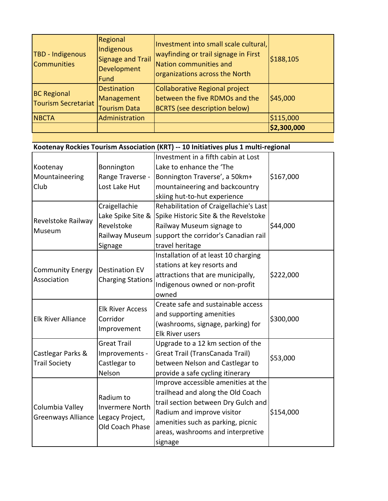| <b>TBD - Indigenous</b><br><b>Communities</b>    | Regional<br>Indigenous<br><b>Signage and Trail</b><br>Development<br><b>Fund</b> | Investment into small scale cultural,<br>wayfinding or trail signage in First<br>Nation communities and<br>organizations across the North | \$188,105   |
|--------------------------------------------------|----------------------------------------------------------------------------------|-------------------------------------------------------------------------------------------------------------------------------------------|-------------|
| <b>BC Regional</b><br><b>Tourism Secretariat</b> | <b>Destination</b><br>Management<br><b>Tourism Data</b>                          | Collaborative Regional project<br>between the five RDMOs and the<br><b>BCRTS</b> (see description below)                                  | \$45,000    |
| <b>NBCTA</b>                                     | Administration                                                                   |                                                                                                                                           | \$115,000   |
|                                                  |                                                                                  |                                                                                                                                           | \$2,300,000 |

## **Kootenay Rockies Tourism Association (KRT) -- 10 Initiatives plus 1 multi-regional**

|                                              |                                                    | Investment in a fifth cabin at Lost    |           |
|----------------------------------------------|----------------------------------------------------|----------------------------------------|-----------|
| Kootenay                                     | Bonnington                                         | Lake to enhance the 'The               |           |
| Mountaineering                               | Range Traverse -                                   | Bonnington Traverse', a 50km+          | \$167,000 |
| Club                                         | Lost Lake Hut                                      | mountaineering and backcountry         |           |
|                                              |                                                    | skiing hut-to-hut experience           |           |
|                                              | Craigellachie                                      | Rehabilitation of Craigellachie's Last |           |
| Revelstoke Railway                           | Lake Spike Site &                                  | Spike Historic Site & the Revelstoke   |           |
| Museum                                       | Revelstoke                                         | Railway Museum signage to              | \$44,000  |
|                                              | Railway Museum                                     | support the corridor's Canadian rail   |           |
|                                              | Signage                                            | travel heritage                        |           |
|                                              |                                                    | Installation of at least 10 charging   |           |
| <b>Community Energy</b>                      | <b>Destination EV</b>                              | stations at key resorts and            |           |
| Association                                  | <b>Charging Stations</b>                           | attractions that are municipally,      | \$222,000 |
|                                              |                                                    | Indigenous owned or non-profit         |           |
|                                              |                                                    | owned                                  |           |
|                                              | <b>Elk River Access</b><br>Corridor<br>Improvement | Create safe and sustainable access     | \$300,000 |
| <b>Elk River Alliance</b>                    |                                                    | and supporting amenities               |           |
|                                              |                                                    | (washrooms, signage, parking) for      |           |
|                                              |                                                    | Elk River users                        |           |
|                                              | <b>Great Trail</b>                                 | Upgrade to a 12 km section of the      |           |
| Castlegar Parks &                            | Improvements -                                     | Great Trail (TransCanada Trail)        | \$53,000  |
| <b>Trail Society</b>                         | Castlegar to                                       | between Nelson and Castlegar to        |           |
|                                              | Nelson                                             | provide a safe cycling itinerary       |           |
|                                              |                                                    | Improve accessible amenities at the    |           |
| Columbia Valley<br><b>Greenways Alliance</b> | Radium to                                          | trailhead and along the Old Coach      |           |
|                                              | <b>Invermere North</b>                             | trail section between Dry Gulch and    |           |
|                                              | Legacy Project,                                    | Radium and improve visitor             | \$154,000 |
|                                              | Old Coach Phase                                    | amenities such as parking, picnic      |           |
|                                              |                                                    | areas, washrooms and interpretive      |           |
|                                              |                                                    | signage                                |           |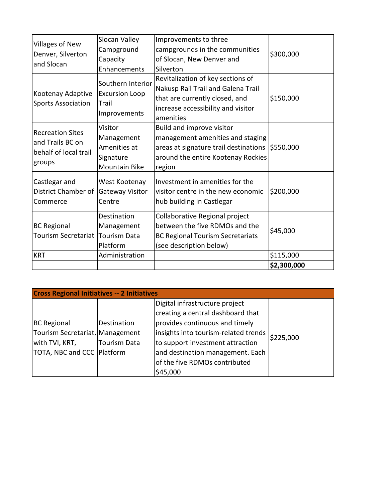|                                                                                | Slocan Valley                                                              | Improvements to three                                                                                                                                        |             |
|--------------------------------------------------------------------------------|----------------------------------------------------------------------------|--------------------------------------------------------------------------------------------------------------------------------------------------------------|-------------|
| <b>Villages of New</b><br>Denver, Silverton                                    | Campground                                                                 | campgrounds in the communities                                                                                                                               |             |
|                                                                                | Capacity                                                                   | of Slocan, New Denver and                                                                                                                                    | \$300,000   |
| and Slocan                                                                     | Enhancements                                                               | Silverton                                                                                                                                                    |             |
| Kootenay Adaptive<br><b>Sports Association</b>                                 | Southern Interior<br><b>Excursion Loop</b><br>Trail<br>Improvements        | Revitalization of key sections of<br>Nakusp Rail Trail and Galena Trail<br>that are currently closed, and<br>increase accessibility and visitor<br>amenities | \$150,000   |
| <b>Recreation Sites</b><br>and Trails BC on<br>behalf of local trail<br>groups | Visitor<br>Management<br>Amenities at<br>Signature<br><b>Mountain Bike</b> | Build and improve visitor<br>management amenities and staging<br>areas at signature trail destinations<br>around the entire Kootenay Rockies<br>region       | \$550,000   |
| Castlegar and<br>District Chamber of<br>Commerce                               | West Kootenay<br><b>Gateway Visitor</b><br>Centre                          | Investment in amenities for the<br>visitor centre in the new economic<br>hub building in Castlegar                                                           | \$200,000   |
| <b>BC Regional</b><br>Tourism Secretariat                                      | Destination<br>Management<br><b>Tourism Data</b><br>Platform               | Collaborative Regional project<br>between the five RDMOs and the<br><b>BC Regional Tourism Secretariats</b><br>(see description below)                       | \$45,000    |
| <b>KRT</b>                                                                     | Administration                                                             |                                                                                                                                                              | \$115,000   |
|                                                                                |                                                                            |                                                                                                                                                              | \$2,300,000 |

| <b>Cross Regional Initiatives -- 2 Initiatives</b> |                     |                                      |           |  |
|----------------------------------------------------|---------------------|--------------------------------------|-----------|--|
|                                                    |                     | Digital infrastructure project       |           |  |
|                                                    |                     | creating a central dashboard that    |           |  |
| <b>BC Regional</b>                                 | Destination         | provides continuous and timely       |           |  |
| Tourism Secretariat, Management                    |                     | insights into tourism-related trends | \$225,000 |  |
| with TVI, KRT,                                     | <b>Tourism Data</b> | to support investment attraction     |           |  |
| TOTA, NBC and CCC Platform                         |                     | and destination management. Each     |           |  |
|                                                    |                     | of the five RDMOs contributed        |           |  |
|                                                    |                     | \$45,000                             |           |  |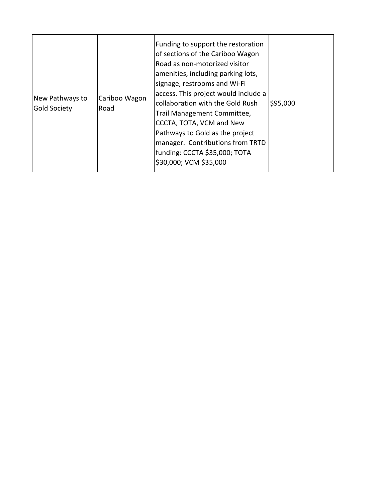| New Pathways to<br><b>Gold Society</b> | Cariboo Wagon<br>Road | Funding to support the restoration<br>of sections of the Cariboo Wagon<br>Road as non-motorized visitor<br>amenities, including parking lots,<br>signage, restrooms and Wi-Fi<br>access. This project would include a<br>collaboration with the Gold Rush<br>Trail Management Committee,<br>CCCTA, TOTA, VCM and New<br>Pathways to Gold as the project<br>manager. Contributions from TRTD<br>funding: CCCTA \$35,000; TOTA<br>\$30,000; VCM \$35,000 | \$95,000 |
|----------------------------------------|-----------------------|--------------------------------------------------------------------------------------------------------------------------------------------------------------------------------------------------------------------------------------------------------------------------------------------------------------------------------------------------------------------------------------------------------------------------------------------------------|----------|
|----------------------------------------|-----------------------|--------------------------------------------------------------------------------------------------------------------------------------------------------------------------------------------------------------------------------------------------------------------------------------------------------------------------------------------------------------------------------------------------------------------------------------------------------|----------|